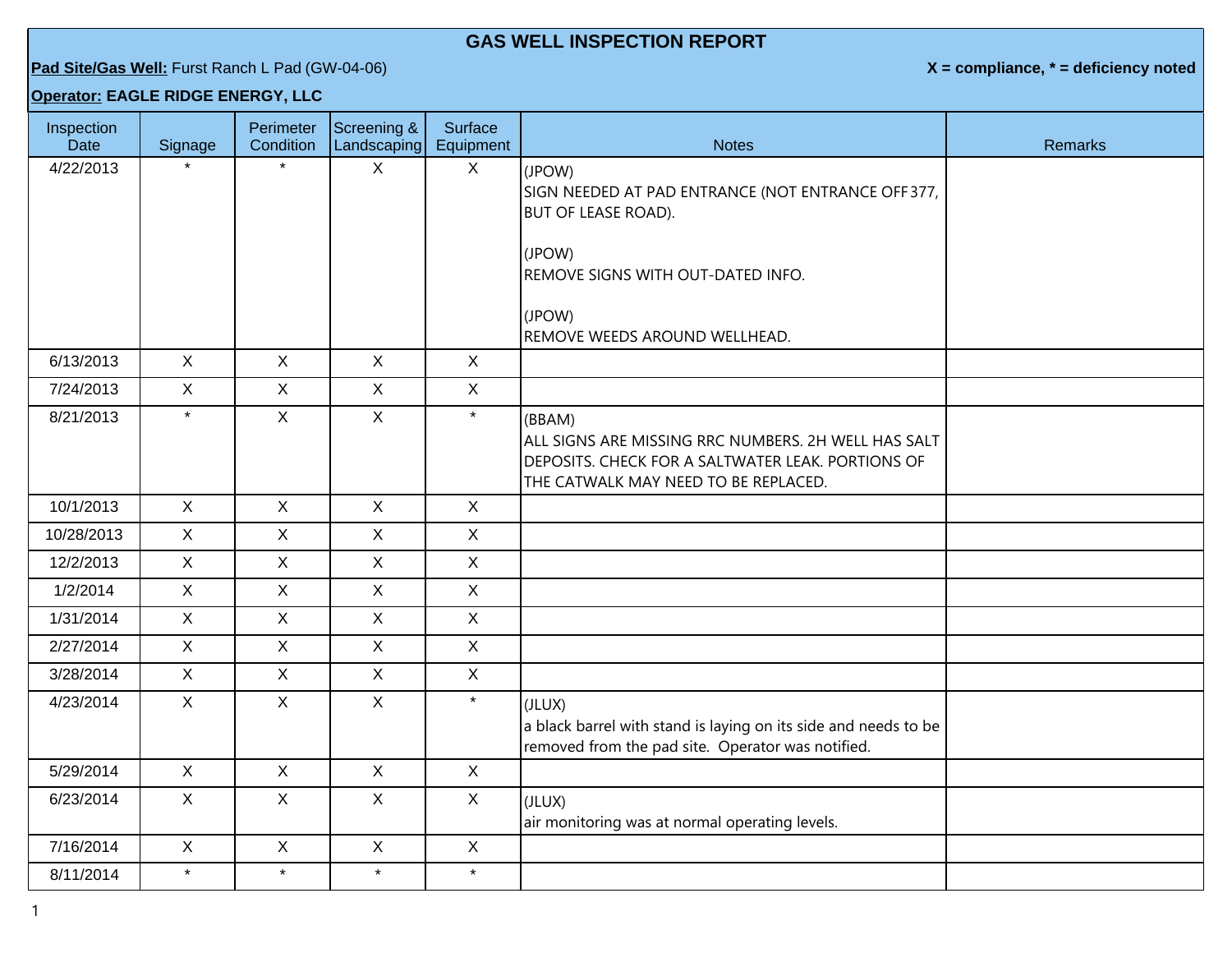## **GAS WELL INSPECTION REPORT**

## **Pad Site/Gas Well:** Furst Ranch L Pad (GW-04-06) **X = compliance, \* = deficiency noted**

## **Operator: EAGLE RIDGE ENERGY, LLC**

| Inspection<br>Date | Signage        | Perimeter<br>Condition | Screening &<br>Landscaping | Surface<br>Equipment | <b>Notes</b>                                                                                                                                               | <b>Remarks</b> |
|--------------------|----------------|------------------------|----------------------------|----------------------|------------------------------------------------------------------------------------------------------------------------------------------------------------|----------------|
| 4/22/2013          |                | $\star$                | $\mathsf{X}$               | X                    | (JPOW)<br>SIGN NEEDED AT PAD ENTRANCE (NOT ENTRANCE OFF377,<br><b>BUT OF LEASE ROAD).</b><br>(JPOW)                                                        |                |
|                    |                |                        |                            |                      | REMOVE SIGNS WITH OUT-DATED INFO.                                                                                                                          |                |
|                    |                |                        |                            |                      | (JPOW)<br>REMOVE WEEDS AROUND WELLHEAD.                                                                                                                    |                |
| 6/13/2013          | $\mathsf{X}$   | $\mathsf{X}$           | $\mathsf{X}$               | $\mathsf{X}$         |                                                                                                                                                            |                |
| 7/24/2013          | $\mathsf{X}$   | $\mathsf{X}$           | $\mathsf{X}$               | $\mathsf{X}$         |                                                                                                                                                            |                |
| 8/21/2013          | $\star$        | $\mathsf{X}$           | $\mathsf{X}$               | $\star$              | (BBAM)<br>ALL SIGNS ARE MISSING RRC NUMBERS. 2H WELL HAS SALT<br>DEPOSITS. CHECK FOR A SALTWATER LEAK. PORTIONS OF<br>THE CATWALK MAY NEED TO BE REPLACED. |                |
| 10/1/2013          | $\mathsf{X}$   | $\mathsf{X}$           | $\mathsf{X}$               | $\mathsf{X}$         |                                                                                                                                                            |                |
| 10/28/2013         | $\mathsf{X}$   | $\mathsf{X}$           | $\mathsf{X}$               | $\mathsf{X}$         |                                                                                                                                                            |                |
| 12/2/2013          | $\overline{X}$ | $\mathsf{X}$           | $\mathsf{X}$               | $\overline{X}$       |                                                                                                                                                            |                |
| 1/2/2014           | $\mathsf{X}$   | $\mathsf{X}$           | $\mathsf{X}$               | $\mathsf{X}$         |                                                                                                                                                            |                |
| 1/31/2014          | $\mathsf{X}$   | X                      | $\mathsf{X}$               | $\mathsf{X}$         |                                                                                                                                                            |                |
| 2/27/2014          | $\mathsf{X}$   | $\mathsf{X}$           | $\mathsf{X}$               | $\mathsf{X}$         |                                                                                                                                                            |                |
| 3/28/2014          | $\mathsf{X}$   | $\mathsf{X}$           | $\mathsf{X}$               | $\mathsf{X}$         |                                                                                                                                                            |                |
| 4/23/2014          | $\mathsf{X}$   | $\mathsf{X}$           | $\mathsf{X}$               | $\star$              | (JLUX)<br>a black barrel with stand is laying on its side and needs to be<br>removed from the pad site. Operator was notified.                             |                |
| 5/29/2014          | $\mathsf{X}$   | $\mathsf{X}$           | $\mathsf{X}$               | $\mathsf{X}$         |                                                                                                                                                            |                |
| 6/23/2014          | $\mathsf{X}$   | X                      | $\mathsf{X}$               | $\mathsf{X}$         | (JLUX)<br>air monitoring was at normal operating levels.                                                                                                   |                |
| 7/16/2014          | $\mathsf{X}$   | $\mathsf{X}$           | $\mathsf{X}$               | $\mathsf{X}$         |                                                                                                                                                            |                |
| 8/11/2014          | $\star$        | $\star$                | $\star$                    | $\star$              |                                                                                                                                                            |                |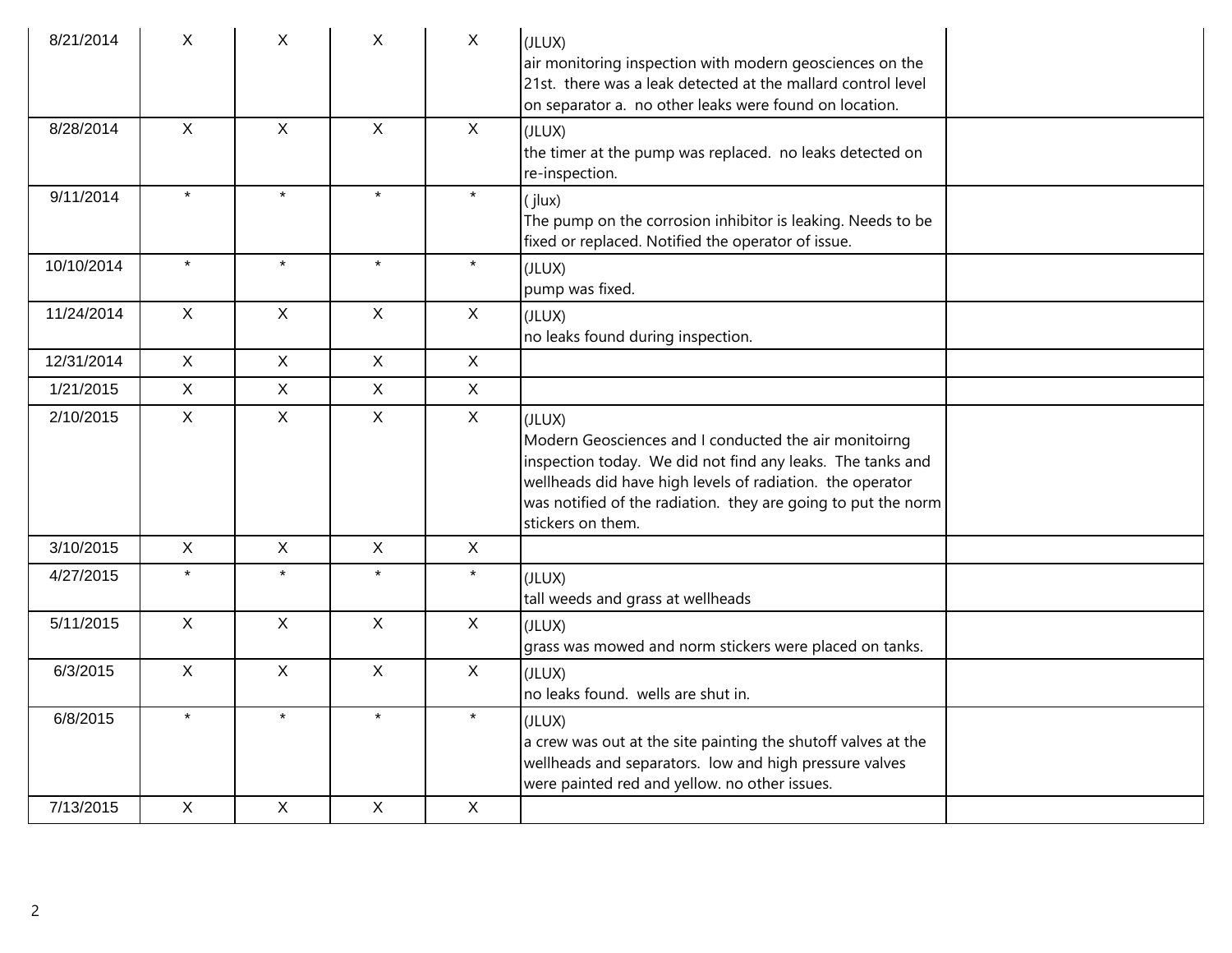| 8/21/2014  | X              | X            | X            | $\mathsf{X}$ | (JLUX)<br>air monitoring inspection with modern geosciences on the<br>21st. there was a leak detected at the mallard control level<br>on separator a. no other leaks were found on location.                                                                                     |  |
|------------|----------------|--------------|--------------|--------------|----------------------------------------------------------------------------------------------------------------------------------------------------------------------------------------------------------------------------------------------------------------------------------|--|
| 8/28/2014  | $\mathsf{X}$   | $\mathsf{X}$ | $\mathsf{X}$ | $\mathsf{X}$ | (JLUX)<br>the timer at the pump was replaced. no leaks detected on<br>re-inspection.                                                                                                                                                                                             |  |
| 9/11/2014  | $\star$        | $\star$      | $\star$      | $\star$      | (jlux)<br>The pump on the corrosion inhibitor is leaking. Needs to be<br>fixed or replaced. Notified the operator of issue.                                                                                                                                                      |  |
| 10/10/2014 | $\star$        | $\star$      | $\star$      | $\star$      | (JLUX)<br>pump was fixed.                                                                                                                                                                                                                                                        |  |
| 11/24/2014 | $\overline{X}$ | $\mathsf{X}$ | $\mathsf{X}$ | $\mathsf{X}$ | (JLUX)<br>no leaks found during inspection.                                                                                                                                                                                                                                      |  |
| 12/31/2014 | $\mathsf{X}$   | $\mathsf{X}$ | $\mathsf{X}$ | $\sf X$      |                                                                                                                                                                                                                                                                                  |  |
| 1/21/2015  | $\mathsf X$    | $\mathsf X$  | $\mathsf{X}$ | $\mathsf X$  |                                                                                                                                                                                                                                                                                  |  |
| 2/10/2015  | $\mathsf{X}$   | $\mathsf{X}$ | $\mathsf{X}$ | $\mathsf{X}$ | (JLUX)<br>Modern Geosciences and I conducted the air monitoirng<br>inspection today. We did not find any leaks. The tanks and<br>wellheads did have high levels of radiation. the operator<br>was notified of the radiation. they are going to put the norm<br>stickers on them. |  |
| 3/10/2015  | $\mathsf{X}$   | $\mathsf{X}$ | $\mathsf{X}$ | $\mathsf{X}$ |                                                                                                                                                                                                                                                                                  |  |
| 4/27/2015  | $\star$        | $\star$      | $\star$      | $\star$      | (JLUX)<br>tall weeds and grass at wellheads                                                                                                                                                                                                                                      |  |
| 5/11/2015  | $\mathsf{X}$   | $\mathsf{X}$ | $\mathsf{X}$ | $\mathsf{X}$ | (JLUX)<br>grass was mowed and norm stickers were placed on tanks.                                                                                                                                                                                                                |  |
| 6/3/2015   | $\mathsf{X}$   | $\mathsf{X}$ | $\mathsf{X}$ | $\mathsf{X}$ | (JLUX)<br>no leaks found. wells are shut in.                                                                                                                                                                                                                                     |  |
| 6/8/2015   | $\star$        | $\star$      | $\star$      | $\star$      | (JLUX)<br>a crew was out at the site painting the shutoff valves at the<br>wellheads and separators. low and high pressure valves<br>were painted red and yellow. no other issues.                                                                                               |  |
| 7/13/2015  | $\mathsf{X}$   | $\mathsf{X}$ | $\mathsf{X}$ | $\mathsf{X}$ |                                                                                                                                                                                                                                                                                  |  |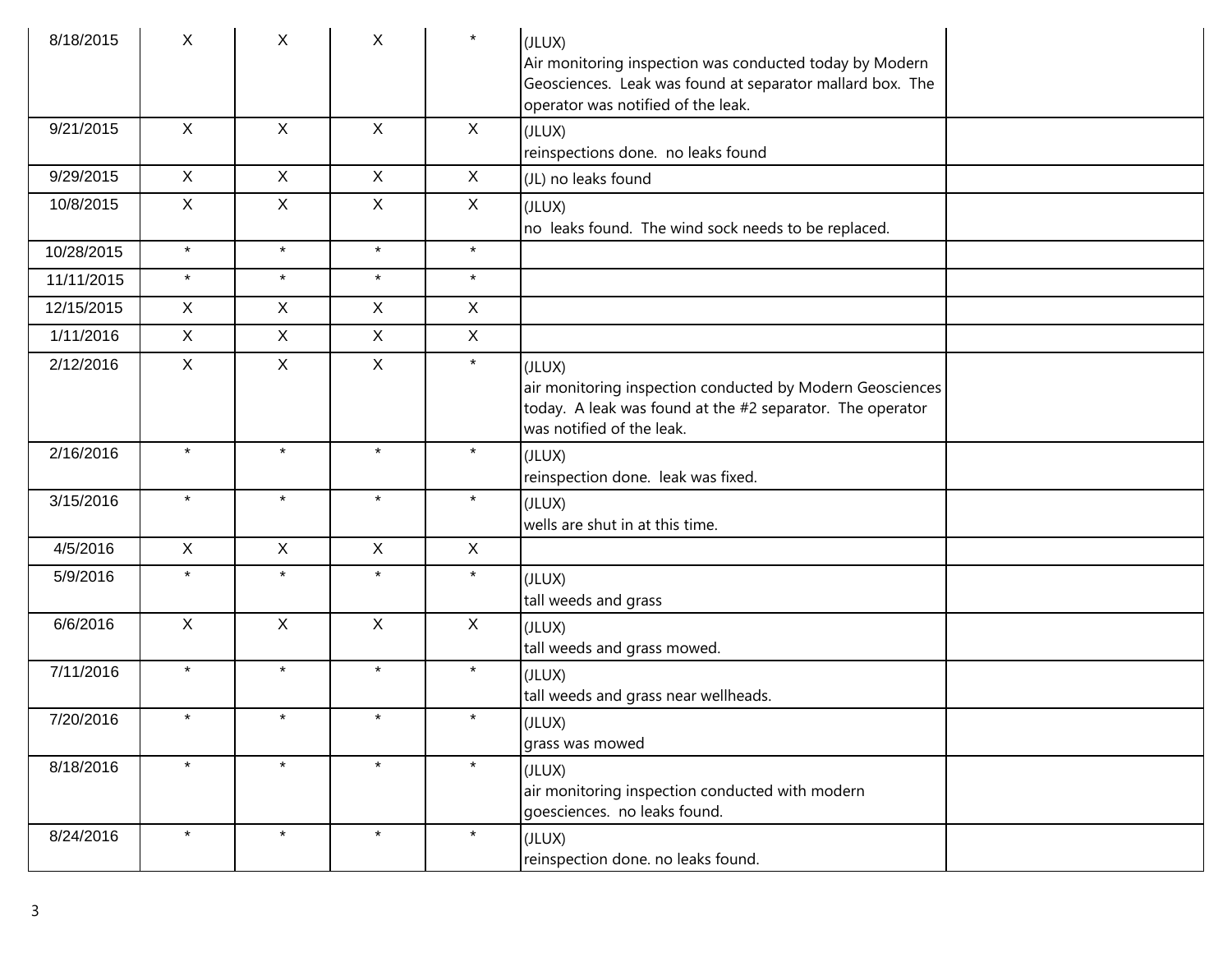| 8/18/2015  | X            | X            | X            | $\star$      | (JLUX)<br>Air monitoring inspection was conducted today by Modern<br>Geosciences. Leak was found at separator mallard box. The<br>operator was notified of the leak. |
|------------|--------------|--------------|--------------|--------------|----------------------------------------------------------------------------------------------------------------------------------------------------------------------|
| 9/21/2015  | $\mathsf{X}$ | $\mathsf{X}$ | $\mathsf{X}$ | X            | (JLUX)<br>reinspections done. no leaks found                                                                                                                         |
| 9/29/2015  | $\sf X$      | $\mathsf{X}$ | $\mathsf{X}$ | X            | (JL) no leaks found                                                                                                                                                  |
| 10/8/2015  | $\mathsf{X}$ | $\mathsf{X}$ | $\mathsf{X}$ | $\mathsf{X}$ | (JLUX)<br>no leaks found. The wind sock needs to be replaced.                                                                                                        |
| 10/28/2015 | $\star$      | $\star$      | $\star$      | $\star$      |                                                                                                                                                                      |
| 11/11/2015 | $\star$      | $\star$      | $\star$      | $\star$      |                                                                                                                                                                      |
| 12/15/2015 | $\mathsf{X}$ | $\mathsf{X}$ | $\mathsf{X}$ | $\mathsf X$  |                                                                                                                                                                      |
| 1/11/2016  | $\mathsf{X}$ | $\mathsf{X}$ | $\mathsf X$  | $\mathsf X$  |                                                                                                                                                                      |
| 2/12/2016  | $\mathsf{X}$ | $\mathsf{X}$ | $\mathsf{X}$ | $\star$      | (JLUX)<br>air monitoring inspection conducted by Modern Geosciences<br>today. A leak was found at the #2 separator. The operator<br>was notified of the leak.        |
| 2/16/2016  | $\star$      | $\star$      | $\star$      | $\star$      | (JLUX)<br>reinspection done. leak was fixed.                                                                                                                         |
| 3/15/2016  | $\star$      | $\star$      | $\star$      | $\star$      | (JLUX)<br>wells are shut in at this time.                                                                                                                            |
| 4/5/2016   | $\mathsf{X}$ | $\mathsf{X}$ | $\mathsf{X}$ | $\mathsf X$  |                                                                                                                                                                      |
| 5/9/2016   | $\star$      | $\star$      | $\star$      | $\star$      | (JLUX)<br>tall weeds and grass                                                                                                                                       |
| 6/6/2016   | $\mathsf{X}$ | $\mathsf{X}$ | $\mathsf{X}$ | $\mathsf{X}$ | (JLUX)<br>tall weeds and grass mowed.                                                                                                                                |
| 7/11/2016  | $\star$      | $\star$      | $\star$      | $\star$      | (JLUX)<br>tall weeds and grass near wellheads.                                                                                                                       |
| 7/20/2016  | $\star$      | $\star$      | $\star$      | $\star$      | (JLUX)<br>grass was mowed                                                                                                                                            |
| 8/18/2016  | $\star$      | $\star$      | $\star$      | $\star$      | (JLUX)<br>air monitoring inspection conducted with modern<br>goesciences. no leaks found.                                                                            |
| 8/24/2016  | $\star$      | $\star$      | $\star$      | $\star$      | (JLUX)<br>reinspection done. no leaks found.                                                                                                                         |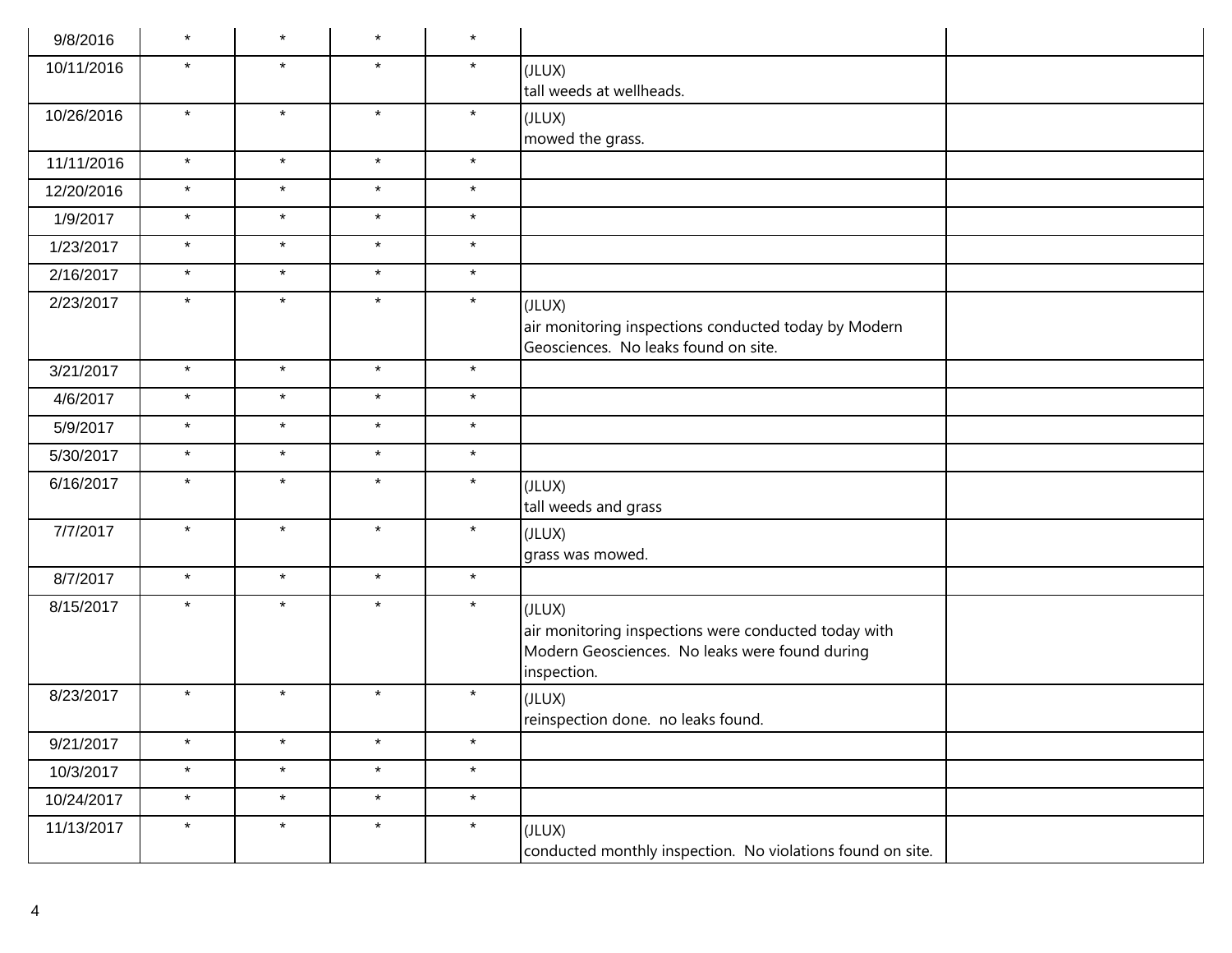| 9/8/2016   | $\star$ | $\star$ | $\star$ | $\star$ |                                                                                                                                 |
|------------|---------|---------|---------|---------|---------------------------------------------------------------------------------------------------------------------------------|
| 10/11/2016 | $\star$ | $\star$ | $\star$ | $\star$ | (JLUX)                                                                                                                          |
|            |         |         |         |         | tall weeds at wellheads.                                                                                                        |
| 10/26/2016 | $\star$ | $\star$ | $\star$ | $\star$ | (JLUX)<br>mowed the grass.                                                                                                      |
| 11/11/2016 | $\star$ | $\star$ | $\star$ | $\star$ |                                                                                                                                 |
| 12/20/2016 | $\star$ | $\star$ | $\star$ | $\star$ |                                                                                                                                 |
| 1/9/2017   | $\star$ | $\star$ | $\star$ | $\star$ |                                                                                                                                 |
| 1/23/2017  | $\star$ | $\star$ | $\star$ | $\star$ |                                                                                                                                 |
| 2/16/2017  | $\star$ | $\star$ | $\star$ | $\star$ |                                                                                                                                 |
| 2/23/2017  | $\star$ | $\star$ | $\star$ | $\star$ | (JLUX)<br>air monitoring inspections conducted today by Modern<br>Geosciences. No leaks found on site.                          |
| 3/21/2017  | $\star$ | $\star$ | $\star$ | $\star$ |                                                                                                                                 |
| 4/6/2017   | $\star$ | $\star$ | $\star$ | $\star$ |                                                                                                                                 |
| 5/9/2017   | $\star$ | $\star$ | $\star$ | $\star$ |                                                                                                                                 |
| 5/30/2017  | $\star$ | $\star$ | $\star$ | $\star$ |                                                                                                                                 |
| 6/16/2017  | $\star$ | $\star$ | $\star$ | $\star$ | (JLUX)<br>tall weeds and grass                                                                                                  |
| 7/7/2017   | $\star$ | $\star$ | $\star$ | $\star$ | (JLUX)<br>grass was mowed.                                                                                                      |
| 8/7/2017   | $\star$ | $\star$ | $\star$ | $\star$ |                                                                                                                                 |
| 8/15/2017  | $\star$ | $\star$ | $\star$ | $\star$ | (JLUX)<br>air monitoring inspections were conducted today with<br>Modern Geosciences. No leaks were found during<br>inspection. |
| 8/23/2017  | $\star$ | $\star$ | $\star$ | $\star$ | (JLUX)<br>reinspection done. no leaks found.                                                                                    |
| 9/21/2017  | $\star$ | $\star$ | $\star$ | $\star$ |                                                                                                                                 |
| 10/3/2017  | $\star$ | $\star$ | $\star$ | $\star$ |                                                                                                                                 |
| 10/24/2017 | $\star$ | $\star$ | $\star$ | $\star$ |                                                                                                                                 |
| 11/13/2017 | $\star$ | $\star$ | $\star$ | $\star$ | (JLUX)<br>conducted monthly inspection. No violations found on site.                                                            |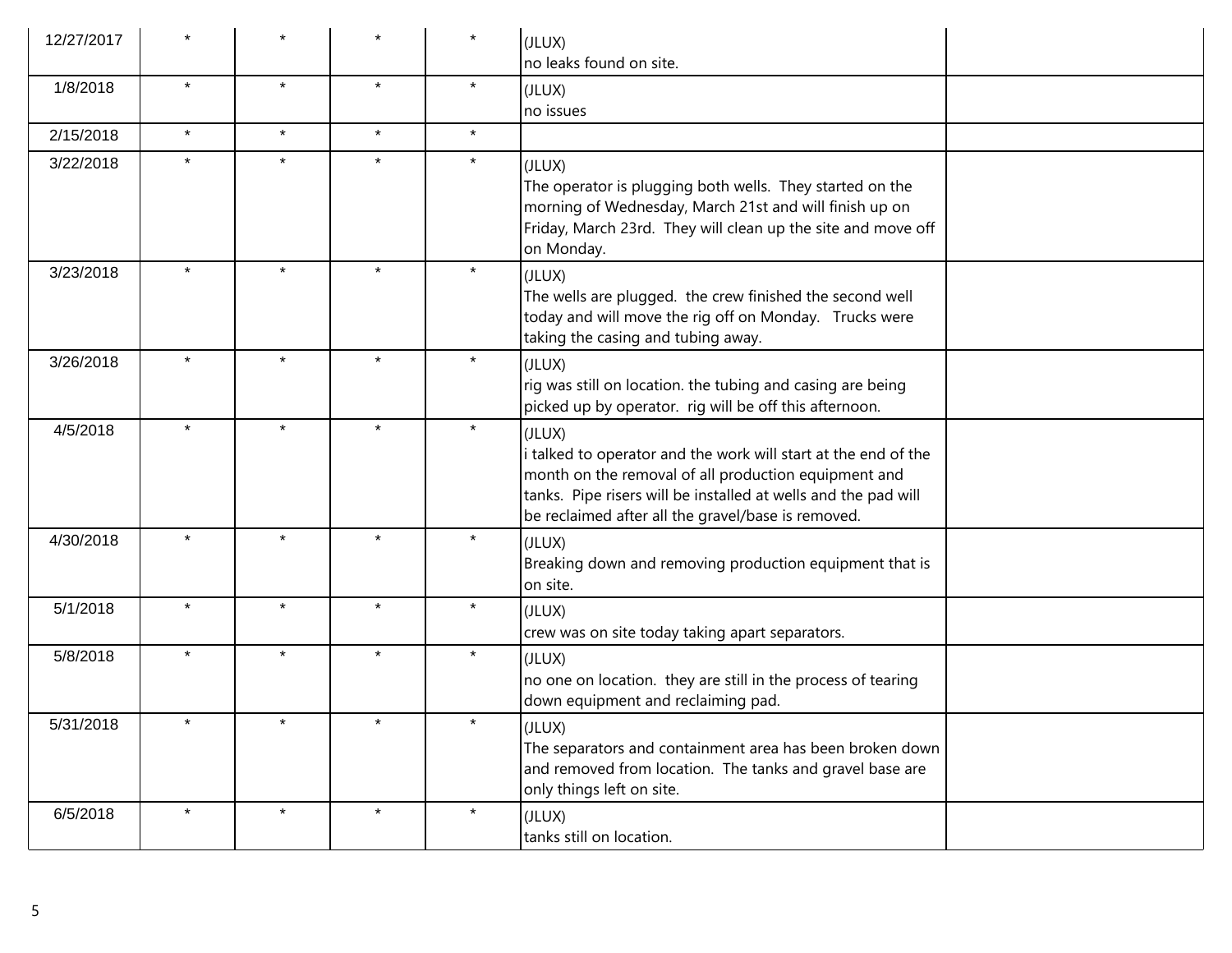| 12/27/2017 |         |         |         |         | (JLUX)<br>no leaks found on site.                                                                                                                                                                                                                        |  |
|------------|---------|---------|---------|---------|----------------------------------------------------------------------------------------------------------------------------------------------------------------------------------------------------------------------------------------------------------|--|
| 1/8/2018   | $\star$ | $\star$ | $\star$ | $\star$ | (JLUX)<br>no issues                                                                                                                                                                                                                                      |  |
| 2/15/2018  | $\star$ | $\star$ | $\star$ | $\star$ |                                                                                                                                                                                                                                                          |  |
| 3/22/2018  | $\star$ | $\star$ | $\star$ | $\star$ | (JLUX)<br>The operator is plugging both wells. They started on the<br>morning of Wednesday, March 21st and will finish up on<br>Friday, March 23rd. They will clean up the site and move off<br>on Monday.                                               |  |
| 3/23/2018  | $\star$ |         | $\star$ | $\star$ | (JLUX)<br>The wells are plugged. the crew finished the second well<br>today and will move the rig off on Monday. Trucks were<br>taking the casing and tubing away.                                                                                       |  |
| 3/26/2018  | $\star$ | $\star$ | $\star$ | $\star$ | (JLUX)<br>rig was still on location. the tubing and casing are being<br>picked up by operator. rig will be off this afternoon.                                                                                                                           |  |
| 4/5/2018   | $\star$ | $\star$ | $\star$ | $\star$ | (JLUX)<br>i talked to operator and the work will start at the end of the<br>month on the removal of all production equipment and<br>tanks. Pipe risers will be installed at wells and the pad will<br>be reclaimed after all the gravel/base is removed. |  |
| 4/30/2018  | $\star$ | $\star$ | $\star$ | $\star$ | (JLUX)<br>Breaking down and removing production equipment that is<br>on site.                                                                                                                                                                            |  |
| 5/1/2018   | $\star$ | $\star$ | $\star$ | $\star$ | (JLUX)<br>crew was on site today taking apart separators.                                                                                                                                                                                                |  |
| 5/8/2018   | $\star$ | $\star$ | $\star$ | $\star$ | (JLUX)<br>no one on location. they are still in the process of tearing<br>down equipment and reclaiming pad.                                                                                                                                             |  |
| 5/31/2018  | $\star$ | $\star$ | $\star$ | $\star$ | (JLUX)<br>The separators and containment area has been broken down<br>and removed from location. The tanks and gravel base are<br>only things left on site.                                                                                              |  |
| 6/5/2018   | $\star$ | $\star$ | $\star$ | $\star$ | (JLUX)<br>tanks still on location.                                                                                                                                                                                                                       |  |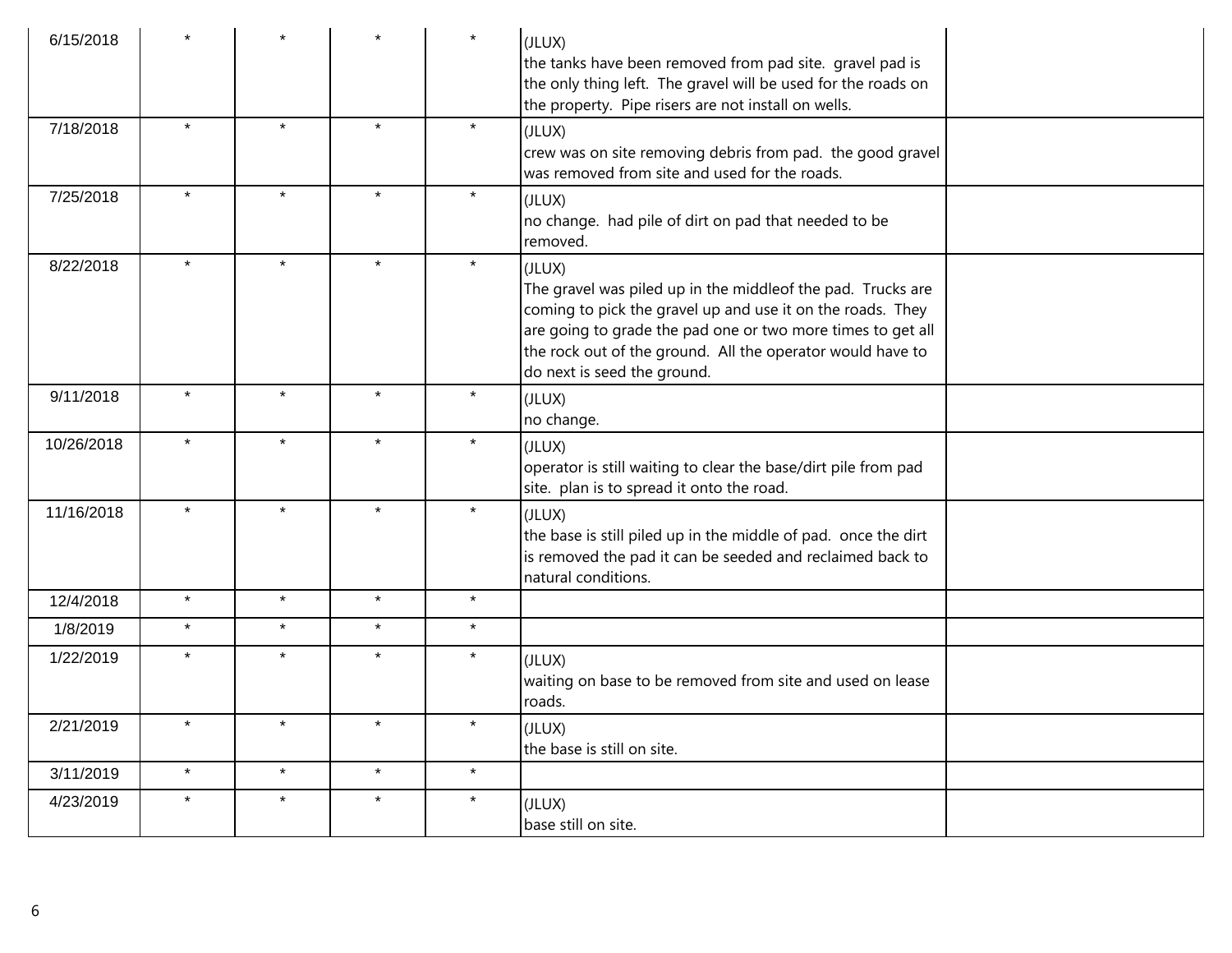| 6/15/2018  |         |         |         |         | (JLUX)<br>the tanks have been removed from pad site. gravel pad is<br>the only thing left. The gravel will be used for the roads on<br>the property. Pipe risers are not install on wells.                                                                                                      |
|------------|---------|---------|---------|---------|-------------------------------------------------------------------------------------------------------------------------------------------------------------------------------------------------------------------------------------------------------------------------------------------------|
| 7/18/2018  | $\star$ | $\star$ | $\star$ | $\star$ | (JLUX)<br>crew was on site removing debris from pad. the good gravel<br>was removed from site and used for the roads.                                                                                                                                                                           |
| 7/25/2018  | $\star$ | $\star$ | $\star$ | $\star$ | (JLUX)<br>no change. had pile of dirt on pad that needed to be<br>removed.                                                                                                                                                                                                                      |
| 8/22/2018  | $\star$ | $\star$ | $\star$ | $\star$ | (JLUX)<br>The gravel was piled up in the middleof the pad. Trucks are<br>coming to pick the gravel up and use it on the roads. They<br>are going to grade the pad one or two more times to get all<br>the rock out of the ground. All the operator would have to<br>do next is seed the ground. |
| 9/11/2018  | $\star$ | $\star$ | $\star$ | $\star$ | (JLUX)<br>no change.                                                                                                                                                                                                                                                                            |
| 10/26/2018 | $\star$ | $\star$ | $\star$ | $\star$ | (JLUX)<br>operator is still waiting to clear the base/dirt pile from pad<br>site. plan is to spread it onto the road.                                                                                                                                                                           |
| 11/16/2018 | $\star$ | $\star$ | $\star$ | $\star$ | (JLUX)<br>the base is still piled up in the middle of pad. once the dirt<br>is removed the pad it can be seeded and reclaimed back to<br>natural conditions.                                                                                                                                    |
| 12/4/2018  | $\star$ | $\star$ | $\star$ | $\star$ |                                                                                                                                                                                                                                                                                                 |
| 1/8/2019   | $\star$ | $\star$ | $\star$ | $\star$ |                                                                                                                                                                                                                                                                                                 |
| 1/22/2019  | $\star$ | $\star$ | $\star$ | $\star$ | (JLUX)<br>waiting on base to be removed from site and used on lease<br>roads.                                                                                                                                                                                                                   |
| 2/21/2019  | $\star$ | $\star$ | $\star$ | $\star$ | (JLUX)<br>the base is still on site.                                                                                                                                                                                                                                                            |
| 3/11/2019  | $\star$ | $\star$ | $\star$ | $\star$ |                                                                                                                                                                                                                                                                                                 |
| 4/23/2019  | $\star$ | $\star$ | $\star$ | $\star$ | (JLUX)<br>base still on site.                                                                                                                                                                                                                                                                   |